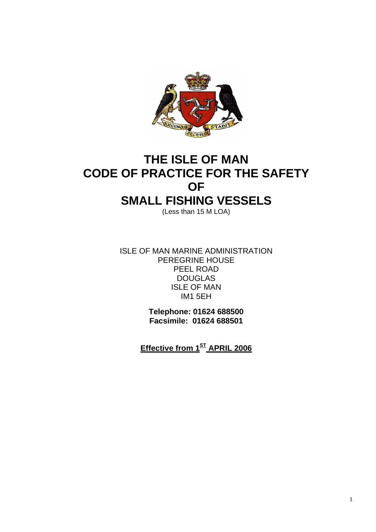

# **THE ISLE OF MAN CODE OF PRACTICE FOR THE SAFETY OF SMALL FISHING VESSELS**

(Less than 15 M LOA)

ISLE OF MAN MARINE ADMINISTRATION PEREGRINE HOUSE PEEL ROAD DOUGLAS ISLE OF MAN IM1 5EH

> **Telephone: 01624 688500 Facsimile: 01624 688501**

**Effective from 1ST APRIL 2006**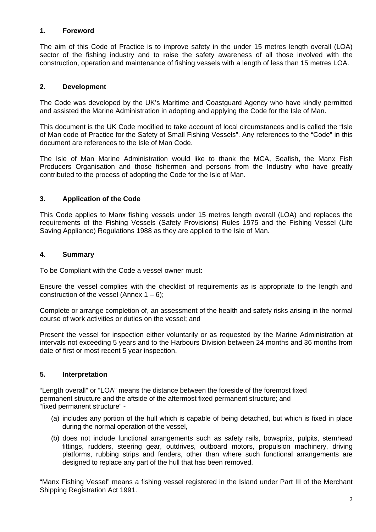# **1. Foreword**

The aim of this Code of Practice is to improve safety in the under 15 metres length overall (LOA) sector of the fishing industry and to raise the safety awareness of all those involved with the construction, operation and maintenance of fishing vessels with a length of less than 15 metres LOA.

# **2. Development**

The Code was developed by the UK's Maritime and Coastguard Agency who have kindly permitted and assisted the Marine Administration in adopting and applying the Code for the Isle of Man.

This document is the UK Code modified to take account of local circumstances and is called the "Isle of Man code of Practice for the Safety of Small Fishing Vessels". Any references to the "Code" in this document are references to the Isle of Man Code.

The Isle of Man Marine Administration would like to thank the MCA, Seafish, the Manx Fish Producers Organisation and those fishermen and persons from the Industry who have greatly contributed to the process of adopting the Code for the Isle of Man.

# **3. Application of the Code**

This Code applies to Manx fishing vessels under 15 metres length overall (LOA) and replaces the requirements of the Fishing Vessels (Safety Provisions) Rules 1975 and the Fishing Vessel (Life Saving Appliance) Regulations 1988 as they are applied to the Isle of Man.

# **4. Summary**

To be Compliant with the Code a vessel owner must:

Ensure the vessel complies with the checklist of requirements as is appropriate to the length and construction of the vessel (Annex  $1 - 6$ );

Complete or arrange completion of, an assessment of the health and safety risks arising in the normal course of work activities or duties on the vessel; and

Present the vessel for inspection either voluntarily or as requested by the Marine Administration at intervals not exceeding 5 years and to the Harbours Division between 24 months and 36 months from date of first or most recent 5 year inspection.

# **5. Interpretation**

"Length overall" or "LOA" means the distance between the foreside of the foremost fixed permanent structure and the aftside of the aftermost fixed permanent structure; and "fixed permanent structure" -

- (a) includes any portion of the hull which is capable of being detached, but which is fixed in place during the normal operation of the vessel,
- (b) does not include functional arrangements such as safety rails, bowsprits, pulpits, stemhead fittings, rudders, steering gear, outdrives, outboard motors, propulsion machinery, driving platforms, rubbing strips and fenders, other than where such functional arrangements are designed to replace any part of the hull that has been removed.

"Manx Fishing Vessel" means a fishing vessel registered in the Island under Part III of the Merchant Shipping Registration Act 1991.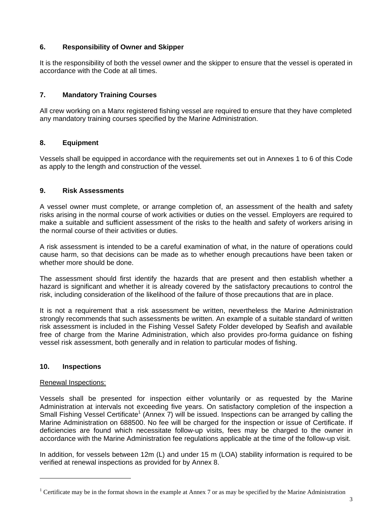# **6. Responsibility of Owner and Skipper**

It is the responsibility of both the vessel owner and the skipper to ensure that the vessel is operated in accordance with the Code at all times.

# **7. Mandatory Training Courses**

All crew working on a Manx registered fishing vessel are required to ensure that they have completed any mandatory training courses specified by the Marine Administration.

# **8. Equipment**

Vessels shall be equipped in accordance with the requirements set out in Annexes 1 to 6 of this Code as apply to the length and construction of the vessel.

# **9. Risk Assessments**

A vessel owner must complete, or arrange completion of, an assessment of the health and safety risks arising in the normal course of work activities or duties on the vessel. Employers are required to make a suitable and sufficient assessment of the risks to the health and safety of workers arising in the normal course of their activities or duties.

A risk assessment is intended to be a careful examination of what, in the nature of operations could cause harm, so that decisions can be made as to whether enough precautions have been taken or whether more should be done.

The assessment should first identify the hazards that are present and then establish whether a hazard is significant and whether it is already covered by the satisfactory precautions to control the risk, including consideration of the likelihood of the failure of those precautions that are in place.

It is not a requirement that a risk assessment be written, nevertheless the Marine Administration strongly recommends that such assessments be written. An example of a suitable standard of written risk assessment is included in the Fishing Vessel Safety Folder developed by Seafish and available free of charge from the Marine Administration, which also provides pro-forma guidance on fishing vessel risk assessment, both generally and in relation to particular modes of fishing.

# **10. Inspections**

# Renewal Inspections:

l

Vessels shall be presented for inspection either voluntarily or as requested by the Marine Administration at intervals not exceeding five years. On satisfactory completion of the inspection a Small Fishing Vessel Certificate<sup>1</sup> (Annex 7) will be issued. Inspections can be arranged by calling the Marine Administration on 688500. No fee will be charged for the inspection or issue of Certificate. If deficiencies are found which necessitate follow-up visits, fees may be charged to the owner in accordance with the Marine Administration fee regulations applicable at the time of the follow-up visit.

In addition, for vessels between 12m (L) and under 15 m (LOA) stability information is required to be verified at renewal inspections as provided for by Annex 8.

<sup>&</sup>lt;sup>1</sup> Certificate may be in the format shown in the example at Annex 7 or as may be specified by the Marine Administration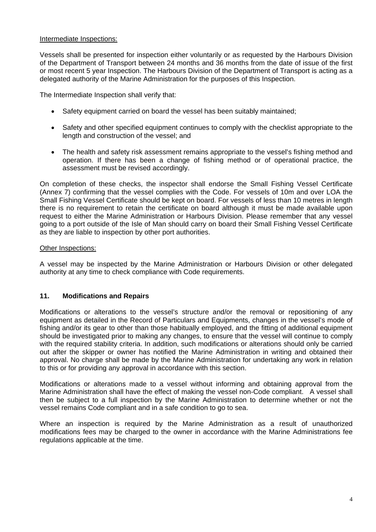# Intermediate Inspections:

Vessels shall be presented for inspection either voluntarily or as requested by the Harbours Division of the Department of Transport between 24 months and 36 months from the date of issue of the first or most recent 5 year Inspection. The Harbours Division of the Department of Transport is acting as a delegated authority of the Marine Administration for the purposes of this Inspection.

The Intermediate Inspection shall verify that:

- Safety equipment carried on board the vessel has been suitably maintained;
- Safety and other specified equipment continues to comply with the checklist appropriate to the length and construction of the vessel; and
- The health and safety risk assessment remains appropriate to the vessel's fishing method and operation. If there has been a change of fishing method or of operational practice, the assessment must be revised accordingly.

On completion of these checks, the inspector shall endorse the Small Fishing Vessel Certificate (Annex 7) confirming that the vessel complies with the Code. For vessels of 10m and over LOA the Small Fishing Vessel Certificate should be kept on board. For vessels of less than 10 metres in length there is no requirement to retain the certificate on board although it must be made available upon request to either the Marine Administration or Harbours Division. Please remember that any vessel going to a port outside of the Isle of Man should carry on board their Small Fishing Vessel Certificate as they are liable to inspection by other port authorities.

# Other Inspections:

A vessel may be inspected by the Marine Administration or Harbours Division or other delegated authority at any time to check compliance with Code requirements.

# **11. Modifications and Repairs**

Modifications or alterations to the vessel's structure and/or the removal or repositioning of any equipment as detailed in the Record of Particulars and Equipments, changes in the vessel's mode of fishing and/or its gear to other than those habitually employed, and the fitting of additional equipment should be investigated prior to making any changes, to ensure that the vessel will continue to comply with the required stability criteria. In addition, such modifications or alterations should only be carried out after the skipper or owner has notified the Marine Administration in writing and obtained their approval. No charge shall be made by the Marine Administration for undertaking any work in relation to this or for providing any approval in accordance with this section.

Modifications or alterations made to a vessel without informing and obtaining approval from the Marine Administration shall have the effect of making the vessel non-Code compliant. A vessel shall then be subject to a full inspection by the Marine Administration to determine whether or not the vessel remains Code compliant and in a safe condition to go to sea.

Where an inspection is required by the Marine Administration as a result of unauthorized modifications fees may be charged to the owner in accordance with the Marine Administrations fee regulations applicable at the time.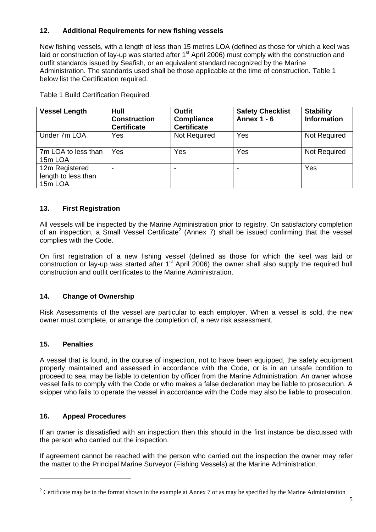# **12. Additional Requirements for new fishing vessels**

New fishing vessels, with a length of less than 15 metres LOA (defined as those for which a keel was laid or construction of lay-up was started after 1<sup>st</sup> April 2006) must comply with the construction and outfit standards issued by Seafish, or an equivalent standard recognized by the Marine Administration. The standards used shall be those applicable at the time of construction. Table 1 below list the Certification required.

Table 1 Build Certification Required.

| <b>Vessel Length</b>                             | Hull<br><b>Construction</b><br><b>Certificate</b> | <b>Outfit</b><br><b>Compliance</b><br><b>Certificate</b> | <b>Safety Checklist</b><br><b>Annex 1 - 6</b> | <b>Stability</b><br><b>Information</b> |
|--------------------------------------------------|---------------------------------------------------|----------------------------------------------------------|-----------------------------------------------|----------------------------------------|
| Under 7m LOA                                     | Yes                                               | Not Required                                             | Yes                                           | <b>Not Required</b>                    |
| 7m LOA to less than<br>15m LOA                   | Yes                                               | Yes                                                      | Yes                                           | Not Required                           |
| 12m Registered<br>length to less than<br>15m LOA |                                                   |                                                          | $\,$                                          | Yes                                    |

# **13. First Registration**

All vessels will be inspected by the Marine Administration prior to registry. On satisfactory completion of an inspection, a Small Vessel Certificate<sup>2</sup> (Annex 7) shall be issued confirming that the vessel complies with the Code.

On first registration of a new fishing vessel (defined as those for which the keel was laid or construction or lay-up was started after  $1<sup>st</sup>$  April 2006) the owner shall also supply the required hull construction and outfit certificates to the Marine Administration.

# **14. Change of Ownership**

Risk Assessments of the vessel are particular to each employer. When a vessel is sold, the new owner must complete, or arrange the completion of, a new risk assessment.

# **15. Penalties**

l

A vessel that is found, in the course of inspection, not to have been equipped, the safety equipment properly maintained and assessed in accordance with the Code, or is in an unsafe condition to proceed to sea, may be liable to detention by officer from the Marine Administration. An owner whose vessel fails to comply with the Code or who makes a false declaration may be liable to prosecution. A skipper who fails to operate the vessel in accordance with the Code may also be liable to prosecution.

# **16. Appeal Procedures**

If an owner is dissatisfied with an inspection then this should in the first instance be discussed with the person who carried out the inspection.

If agreement cannot be reached with the person who carried out the inspection the owner may refer the matter to the Principal Marine Surveyor (Fishing Vessels) at the Marine Administration.

<sup>&</sup>lt;sup>2</sup> Certificate may be in the format shown in the example at Annex 7 or as may be specified by the Marine Administration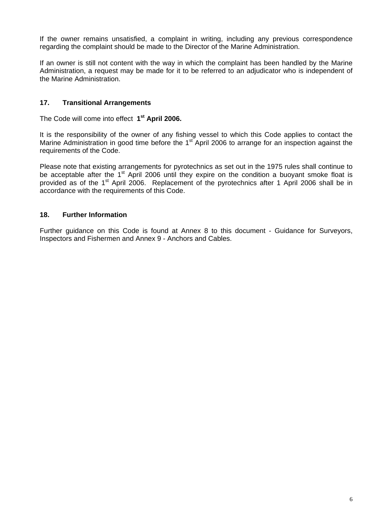If the owner remains unsatisfied, a complaint in writing, including any previous correspondence regarding the complaint should be made to the Director of the Marine Administration.

If an owner is still not content with the way in which the complaint has been handled by the Marine Administration, a request may be made for it to be referred to an adjudicator who is independent of the Marine Administration.

# **17. Transitional Arrangements**

The Code will come into effect **1st April 2006.** 

It is the responsibility of the owner of any fishing vessel to which this Code applies to contact the Marine Administration in good time before the 1<sup>st</sup> April 2006 to arrange for an inspection against the requirements of the Code.

Please note that existing arrangements for pyrotechnics as set out in the 1975 rules shall continue to be acceptable after the 1<sup>st</sup> April 2006 until they expire on the condition a buoyant smoke float is provided as of the 1<sup>st</sup> April 2006. Replacement of the pyrotechnics after 1 April 2006 shall be in accordance with the requirements of this Code.

# **18. Further Information**

Further guidance on this Code is found at Annex 8 to this document - Guidance for Surveyors, Inspectors and Fishermen and Annex 9 - Anchors and Cables.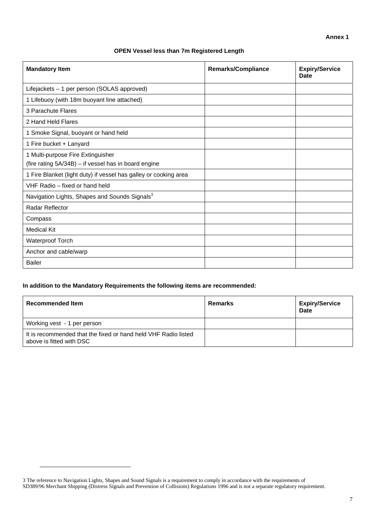### **OPEN Vessel less than 7m Registered Length**

| <b>Mandatory Item</b>                                                                     | <b>Remarks/Compliance</b> | <b>Expiry/Service</b><br>Date |
|-------------------------------------------------------------------------------------------|---------------------------|-------------------------------|
| Lifejackets - 1 per person (SOLAS approved)                                               |                           |                               |
| 1 Lifebuoy (with 18m buoyant line attached)                                               |                           |                               |
| 3 Parachute Flares                                                                        |                           |                               |
| 2 Hand Held Flares                                                                        |                           |                               |
| 1 Smoke Signal, buoyant or hand held                                                      |                           |                               |
| 1 Fire bucket + Lanyard                                                                   |                           |                               |
| 1 Multi-purpose Fire Extinguisher<br>(fire rating 5A/34B) - if vessel has in board engine |                           |                               |
| 1 Fire Blanket (light duty) if vessel has galley or cooking area                          |                           |                               |
| VHF Radio - fixed or hand held                                                            |                           |                               |
| Navigation Lights, Shapes and Sounds Signals <sup>3</sup>                                 |                           |                               |
| Radar Reflector                                                                           |                           |                               |
| Compass                                                                                   |                           |                               |
| <b>Medical Kit</b>                                                                        |                           |                               |
| <b>Waterproof Torch</b>                                                                   |                           |                               |
| Anchor and cable/warp                                                                     |                           |                               |
| <b>Bailer</b>                                                                             |                           |                               |

### **In addition to the Mandatory Requirements the following items are recommended:**

| <b>Recommended Item</b>                                                                    | Remarks | <b>Expiry/Service</b><br><b>Date</b> |
|--------------------------------------------------------------------------------------------|---------|--------------------------------------|
| Working vest - 1 per person                                                                |         |                                      |
| It is recommended that the fixed or hand held VHF Radio listed<br>above is fitted with DSC |         |                                      |

<sup>3</sup> The reference to Navigation Lights, Shapes and Sound Signals is a requirement to comply in accordance with the requirements of SD389/96 Merchant Shipping (Distress Signals and Prevention of Collisions) Regulations 1996 and is not a separate regulatory requirement.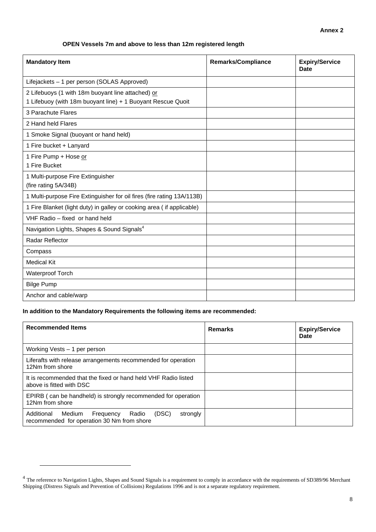### **OPEN Vessels 7m and above to less than 12m registered length**

| <b>Mandatory Item</b>                                                                                            | <b>Remarks/Compliance</b> | <b>Expiry/Service</b><br>Date |
|------------------------------------------------------------------------------------------------------------------|---------------------------|-------------------------------|
| Lifejackets - 1 per person (SOLAS Approved)                                                                      |                           |                               |
| 2 Lifebuoys (1 with 18m buoyant line attached) or<br>1 Lifebuoy (with 18m buoyant line) + 1 Buoyant Rescue Quoit |                           |                               |
| 3 Parachute Flares                                                                                               |                           |                               |
| 2 Hand held Flares                                                                                               |                           |                               |
| 1 Smoke Signal (buoyant or hand held)                                                                            |                           |                               |
| 1 Fire bucket + Lanyard                                                                                          |                           |                               |
| 1 Fire Pump + Hose or<br>1 Fire Bucket                                                                           |                           |                               |
| 1 Multi-purpose Fire Extinguisher<br>(fire rating 5A/34B)                                                        |                           |                               |
| 1 Multi-purpose Fire Extinguisher for oil fires (fire rating 13A/113B)                                           |                           |                               |
| 1 Fire Blanket (light duty) in galley or cooking area (if applicable)                                            |                           |                               |
| VHF Radio - fixed or hand held                                                                                   |                           |                               |
| Navigation Lights, Shapes & Sound Signals <sup>4</sup>                                                           |                           |                               |
| Radar Reflector                                                                                                  |                           |                               |
| Compass                                                                                                          |                           |                               |
| <b>Medical Kit</b>                                                                                               |                           |                               |
| Waterproof Torch                                                                                                 |                           |                               |
| <b>Bilge Pump</b>                                                                                                |                           |                               |
| Anchor and cable/warp                                                                                            |                           |                               |

### **In addition to the Mandatory Requirements the following items are recommended:**

| <b>Recommended Items</b>                                                                                      | <b>Remarks</b> | <b>Expiry/Service</b><br>Date |
|---------------------------------------------------------------------------------------------------------------|----------------|-------------------------------|
| Working Vests - 1 per person                                                                                  |                |                               |
| Liferafts with release arrangements recommended for operation<br>12Nm from shore                              |                |                               |
| It is recommended that the fixed or hand held VHF Radio listed<br>above is fitted with DSC                    |                |                               |
| EPIRB (can be handheld) is strongly recommended for operation<br>12Nm from shore                              |                |                               |
| Additional<br>(DSC)<br>Radio<br>Medium<br>strongly<br>Frequency<br>recommended for operation 30 Nm from shore |                |                               |

 $4$  The reference to Navigation Lights, Shapes and Sound Signals is a requirement to comply in accordance with the requirements of SD389/96 Merchant Shipping (Distress Signals and Prevention of Collisions) Regulations 1996 and is not a separate regulatory requirement.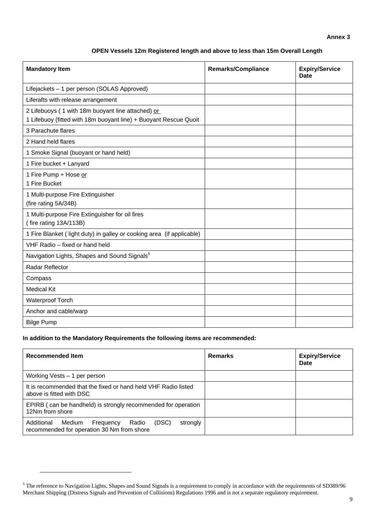### **Annex 3**

### **OPEN Vessels 12m Registered length and above to less than 15m Overall Length**

| <b>Mandatory Item</b>                                                                                                 | <b>Remarks/Compliance</b> | <b>Expiry/Service</b><br><b>Date</b> |
|-----------------------------------------------------------------------------------------------------------------------|---------------------------|--------------------------------------|
| Lifejackets - 1 per person (SOLAS Approved)                                                                           |                           |                                      |
| Liferafts with release arrangement                                                                                    |                           |                                      |
| 2 Lifebuoys (1 with 18m buoyant line attached) or<br>1 Lifebuoy (fitted with 18m buoyant line) + Buoyant Rescue Quoit |                           |                                      |
| 3 Parachute flares                                                                                                    |                           |                                      |
| 2 Hand held flares                                                                                                    |                           |                                      |
| 1 Smoke Signal (buoyant or hand held)                                                                                 |                           |                                      |
| 1 Fire bucket + Lanyard                                                                                               |                           |                                      |
| 1 Fire Pump + Hose or<br>1 Fire Bucket                                                                                |                           |                                      |
| 1 Multi-purpose Fire Extinguisher<br>(fire rating 5A/34B)                                                             |                           |                                      |
| 1 Multi-purpose Fire Extinguisher for oil fires<br>(fire rating 13A/113B)                                             |                           |                                      |
| 1 Fire Blanket (light duty) in galley or cooking area (if applicable)                                                 |                           |                                      |
| VHF Radio - fixed or hand held                                                                                        |                           |                                      |
| Navigation Lights, Shapes and Sound Signals <sup>5</sup>                                                              |                           |                                      |
| Radar Reflector                                                                                                       |                           |                                      |
| Compass                                                                                                               |                           |                                      |
| <b>Medical Kit</b>                                                                                                    |                           |                                      |
| <b>Waterproof Torch</b>                                                                                               |                           |                                      |
| Anchor and cable/warp                                                                                                 |                           |                                      |
| <b>Bilge Pump</b>                                                                                                     |                           |                                      |

### **In addition to the Mandatory Requirements the following items are recommended:**

 $\overline{a}$ 

| <b>Recommended Item</b>                                                                                       | <b>Remarks</b> | <b>Expiry/Service</b><br>Date |
|---------------------------------------------------------------------------------------------------------------|----------------|-------------------------------|
| Working Vests – 1 per person                                                                                  |                |                               |
| It is recommended that the fixed or hand held VHF Radio listed<br>above is fitted with DSC                    |                |                               |
| EPIRB (can be handheld) is strongly recommended for operation<br>12Nm from shore                              |                |                               |
| Additional<br>(DSC)<br>strongly<br>Radio<br>Medium<br>Frequency<br>recommended for operation 30 Nm from shore |                |                               |

 $5$  The reference to Navigation Lights, Shapes and Sound Signals is a requirement to comply in accordance with the requirements of SD389/96 Merchant Shipping (Distress Signals and Prevention of Collisions) Regulations 1996 and is not a separate regulatory requirement.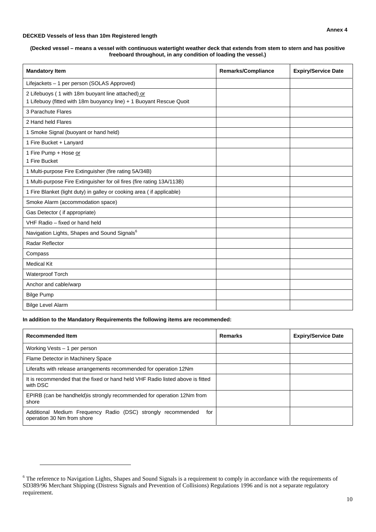#### **DECKED Vessels of less than 10m Registered length**

#### **(Decked vessel – means a vessel with continuous watertight weather deck that extends from stem to stern and has positive freeboard throughout, in any condition of loading the vessel.)**

| <b>Mandatory Item</b>                                                                                                    | <b>Remarks/Compliance</b> | <b>Expiry/Service Date</b> |
|--------------------------------------------------------------------------------------------------------------------------|---------------------------|----------------------------|
| Lifejackets - 1 per person (SOLAS Approved)                                                                              |                           |                            |
| 2 Lifebuoys (1 with 18m buoyant line attached) or<br>1 Lifebuoy (fitted with 18m buoyancy line) + 1 Buoyant Rescue Quoit |                           |                            |
| 3 Parachute Flares                                                                                                       |                           |                            |
| 2 Hand held Flares                                                                                                       |                           |                            |
| 1 Smoke Signal (buoyant or hand held)                                                                                    |                           |                            |
| 1 Fire Bucket + Lanyard                                                                                                  |                           |                            |
| 1 Fire Pump + Hose or<br>1 Fire Bucket                                                                                   |                           |                            |
| 1 Multi-purpose Fire Extinguisher (fire rating 5A/34B)                                                                   |                           |                            |
| 1 Multi-purpose Fire Extinguisher for oil fires (fire rating 13A/113B)                                                   |                           |                            |
| 1 Fire Blanket (light duty) in galley or cooking area ( if applicable)                                                   |                           |                            |
| Smoke Alarm (accommodation space)                                                                                        |                           |                            |
| Gas Detector (if appropriate)                                                                                            |                           |                            |
| VHF Radio - fixed or hand held                                                                                           |                           |                            |
| Navigation Lights, Shapes and Sound Signals <sup>6</sup>                                                                 |                           |                            |
| Radar Reflector                                                                                                          |                           |                            |
| Compass                                                                                                                  |                           |                            |
| <b>Medical Kit</b>                                                                                                       |                           |                            |
| Waterproof Torch                                                                                                         |                           |                            |
| Anchor and cable/warp                                                                                                    |                           |                            |
| <b>Bilge Pump</b>                                                                                                        |                           |                            |
| <b>Bilge Level Alarm</b>                                                                                                 |                           |                            |

#### **In addition to the Mandatory Requirements the following items are recommended:**

| <b>Recommended Item</b>                                                                           | <b>Remarks</b> | <b>Expiry/Service Date</b> |
|---------------------------------------------------------------------------------------------------|----------------|----------------------------|
| Working Vests - 1 per person                                                                      |                |                            |
| Flame Detector in Machinery Space                                                                 |                |                            |
| Liferafts with release arrangements recommended for operation 12Nm                                |                |                            |
| It is recommended that the fixed or hand held VHF Radio listed above is fitted<br>with DSC        |                |                            |
| EPIRB (can be handheld) is strongly recommended for operation 12Nm from<br>shore                  |                |                            |
| Additional Medium Frequency Radio (DSC) strongly recommended<br>for<br>operation 30 Nm from shore |                |                            |

<sup>&</sup>lt;sup>6</sup> The reference to Navigation Lights, Shapes and Sound Signals is a requirement to comply in accordance with the requirements of SD389/96 Merchant Shipping (Distress Signals and Prevention of Collisions) Regulations 1996 and is not a separate regulatory requirement.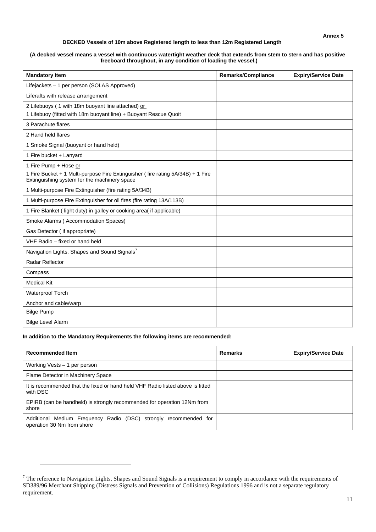#### **DECKED Vessels of 10m above Registered length to less than 12m Registered Length**

#### **(A decked vessel means a vessel with continuous watertight weather deck that extends from stem to stern and has positive freeboard throughout, in any condition of loading the vessel.)**

| <b>Mandatory Item</b>                                                                                                           | <b>Remarks/Compliance</b> | <b>Expiry/Service Date</b> |
|---------------------------------------------------------------------------------------------------------------------------------|---------------------------|----------------------------|
| Lifejackets - 1 per person (SOLAS Approved)                                                                                     |                           |                            |
| Liferafts with release arrangement                                                                                              |                           |                            |
| 2 Lifebuoys (1 with 18m buoyant line attached) or                                                                               |                           |                            |
| 1 Lifebuoy (fitted with 18m buoyant line) + Buoyant Rescue Quoit                                                                |                           |                            |
| 3 Parachute flares                                                                                                              |                           |                            |
| 2 Hand held flares                                                                                                              |                           |                            |
| 1 Smoke Signal (buoyant or hand held)                                                                                           |                           |                            |
| 1 Fire bucket + Lanyard                                                                                                         |                           |                            |
| 1 Fire Pump + Hose or                                                                                                           |                           |                            |
| 1 Fire Bucket + 1 Multi-purpose Fire Extinguisher (fire rating 5A/34B) + 1 Fire<br>Extinguishing system for the machinery space |                           |                            |
| 1 Multi-purpose Fire Extinguisher (fire rating 5A/34B)                                                                          |                           |                            |
| 1 Multi-purpose Fire Extinguisher for oil fires (fire rating 13A/113B)                                                          |                           |                            |
| 1 Fire Blanket (light duty) in galley or cooking area(if applicable)                                                            |                           |                            |
| Smoke Alarms (Accommodation Spaces)                                                                                             |                           |                            |
| Gas Detector (if appropriate)                                                                                                   |                           |                            |
| VHF Radio - fixed or hand held                                                                                                  |                           |                            |
| Navigation Lights, Shapes and Sound Signals <sup>7</sup>                                                                        |                           |                            |
| Radar Reflector                                                                                                                 |                           |                            |
| Compass                                                                                                                         |                           |                            |
| <b>Medical Kit</b>                                                                                                              |                           |                            |
| Waterproof Torch                                                                                                                |                           |                            |
| Anchor and cable/warp                                                                                                           |                           |                            |
| <b>Bilge Pump</b>                                                                                                               |                           |                            |
| <b>Bilge Level Alarm</b>                                                                                                        |                           |                            |

#### **In addition to the Mandatory Requirements the following items are recommended:**

| <b>Recommended Item</b>                                                                        | <b>Remarks</b> | <b>Expiry/Service Date</b> |
|------------------------------------------------------------------------------------------------|----------------|----------------------------|
| Working Vests - 1 per person                                                                   |                |                            |
| Flame Detector in Machinery Space                                                              |                |                            |
| It is recommended that the fixed or hand held VHF Radio listed above is fitted<br>with DSC     |                |                            |
| EPIRB (can be handheld) is strongly recommended for operation 12Nm from<br>shore               |                |                            |
| Additional Medium Frequency Radio (DSC) strongly recommended for<br>operation 30 Nm from shore |                |                            |

 $^7$  The reference to Navigation Lights, Shapes and Sound Signals is a requirement to comply in accordance with the requirements of SD389/96 Merchant Shipping (Distress Signals and Prevention of Collisions) Regulations 1996 and is not a separate regulatory requirement.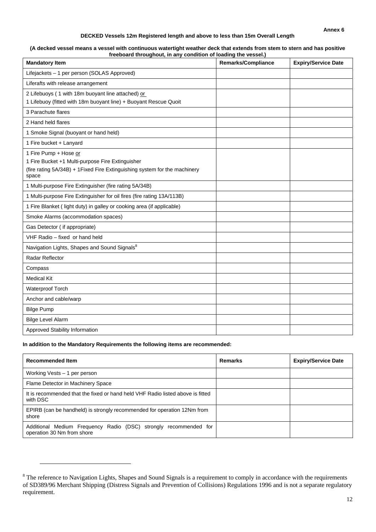#### **DECKED Vessels 12m Registered length and above to less than 15m Overall Length**

#### **(A decked vessel means a vessel with continuous watertight weather deck that extends from stem to stern and has positive freeboard throughout, in any condition of loading the vessel.)**

| <b>Mandatory Item</b>                                                                                                                                            | <b>Remarks/Compliance</b> | <b>Expiry/Service Date</b> |
|------------------------------------------------------------------------------------------------------------------------------------------------------------------|---------------------------|----------------------------|
| Lifejackets - 1 per person (SOLAS Approved)                                                                                                                      |                           |                            |
| Liferafts with release arrangement                                                                                                                               |                           |                            |
| 2 Lifebuoys (1 with 18m buoyant line attached) or<br>1 Lifebuoy (fitted with 18m buoyant line) + Buoyant Rescue Quoit                                            |                           |                            |
| 3 Parachute flares                                                                                                                                               |                           |                            |
| 2 Hand held flares                                                                                                                                               |                           |                            |
| 1 Smoke Signal (buoyant or hand held)                                                                                                                            |                           |                            |
| 1 Fire bucket + Lanyard                                                                                                                                          |                           |                            |
| 1 Fire Pump + Hose or<br>1 Fire Bucket +1 Multi-purpose Fire Extinguisher<br>(fire rating 5A/34B) + 1 Fixed Fire Extinguishing system for the machinery<br>space |                           |                            |
| 1 Multi-purpose Fire Extinguisher (fire rating 5A/34B)                                                                                                           |                           |                            |
| 1 Multi-purpose Fire Extinguisher for oil fires (fire rating 13A/113B)                                                                                           |                           |                            |
| 1 Fire Blanket (light duty) in galley or cooking area (if applicable)                                                                                            |                           |                            |
| Smoke Alarms (accommodation spaces)                                                                                                                              |                           |                            |
| Gas Detector (if appropriate)                                                                                                                                    |                           |                            |
| VHF Radio - fixed or hand held                                                                                                                                   |                           |                            |
| Navigation Lights, Shapes and Sound Signals <sup>8</sup>                                                                                                         |                           |                            |
| Radar Reflector                                                                                                                                                  |                           |                            |
| Compass                                                                                                                                                          |                           |                            |
| <b>Medical Kit</b>                                                                                                                                               |                           |                            |
| Waterproof Torch                                                                                                                                                 |                           |                            |
| Anchor and cable/warp                                                                                                                                            |                           |                            |
| <b>Bilge Pump</b>                                                                                                                                                |                           |                            |
| <b>Bilge Level Alarm</b>                                                                                                                                         |                           |                            |
| Approved Stability Information                                                                                                                                   |                           |                            |

#### **In addition to the Mandatory Requirements the following items are recommended:**

 $\overline{a}$ 

| <b>Recommended Item</b>                                                                        | <b>Remarks</b> | <b>Expiry/Service Date</b> |
|------------------------------------------------------------------------------------------------|----------------|----------------------------|
| Working Vests - 1 per person                                                                   |                |                            |
| Flame Detector in Machinery Space                                                              |                |                            |
| It is recommended that the fixed or hand held VHF Radio listed above is fitted<br>with DSC     |                |                            |
| EPIRB (can be handheld) is strongly recommended for operation 12Nm from<br>shore               |                |                            |
| Additional Medium Frequency Radio (DSC) strongly recommended for<br>operation 30 Nm from shore |                |                            |

 $8$  The reference to Navigation Lights, Shapes and Sound Signals is a requirement to comply in accordance with the requirements of SD389/96 Merchant Shipping (Distress Signals and Prevention of Collisions) Regulations 1996 and is not a separate regulatory requirement.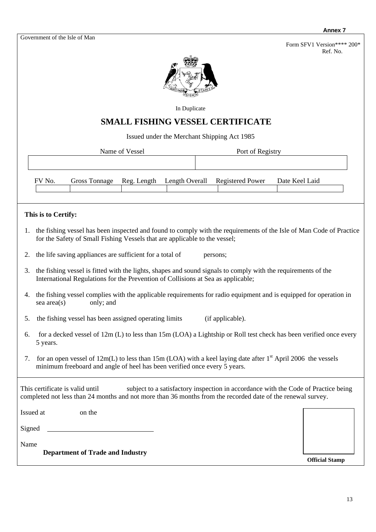Form SFV1 Version\*\*\*\* 200\* Ref. No.



In Duplicate

# **SMALL FISHING VESSEL CERTIFICATE**

Issued under the Merchant Shipping Act 1985

Name of Vessel Port of Registry

| FV No. | Gross Tonnage | Reg. Length | Length Overall Registered Power | Date Keel Laid |
|--------|---------------|-------------|---------------------------------|----------------|
|        |               |             |                                 |                |
|        |               |             |                                 |                |

# **This is to Certify:**

- 1. the fishing vessel has been inspected and found to comply with the requirements of the Isle of Man Code of Practice for the Safety of Small Fishing Vessels that are applicable to the vessel;
- 2. the life saving appliances are sufficient for a total of persons;
- 3. the fishing vessel is fitted with the lights, shapes and sound signals to comply with the requirements of the International Regulations for the Prevention of Collisions at Sea as applicable;
- 4. the fishing vessel complies with the applicable requirements for radio equipment and is equipped for operation in sea area(s) only; and
- 5. the fishing vessel has been assigned operating limits (if applicable).
- 6. for a decked vessel of 12m (L) to less than 15m (LOA) a Lightship or Roll test check has been verified once every 5 years.
- 7. for an open vessel of  $12m(L)$  to less than 15m (LOA) with a keel laying date after  $1<sup>st</sup>$  April 2006 the vessels minimum freeboard and angle of heel has been verified once every 5 years.

This certificate is valid until subject to a satisfactory inspection in accordance with the Code of Practice being completed not less than 24 months and not more than 36 months from the recorded date of the renewal survey.

| Issued at | on the |
|-----------|--------|
| Signed    |        |
| Name      |        |

**Department of Trade and Industry** 

**Official Stamp**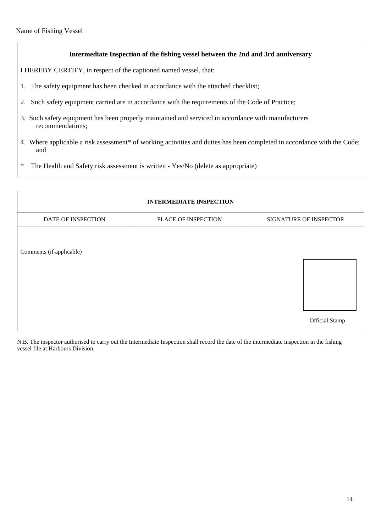## **Intermediate Inspection of the fishing vessel between the 2nd and 3rd anniversary**

I HEREBY CERTIFY, in respect of the captioned named vessel, that:

- 1. The safety equipment has been checked in accordance with the attached checklist;
- 2. Such safety equipment carried are in accordance with the requirements of the Code of Practice;
- 3. Such safety equipment has been properly maintained and serviced in accordance with manufacturers recommendations;
- 4. Where applicable a risk assessment\* of working activities and duties has been completed in accordance with the Code; and
- \* The Health and Safety risk assessment is written Yes/No (delete as appropriate)

| <b>INTERMEDIATE INSPECTION</b> |                     |                        |  |  |  |
|--------------------------------|---------------------|------------------------|--|--|--|
| DATE OF INSPECTION             | PLACE OF INSPECTION | SIGNATURE OF INSPECTOR |  |  |  |
|                                |                     |                        |  |  |  |
| Comments (if applicable)       |                     | <b>Official Stamp</b>  |  |  |  |

N.B. The inspector authorised to carry out the Intermediate Inspection shall record the date of the intermediate inspection in the fishing vessel file at Harbours Division.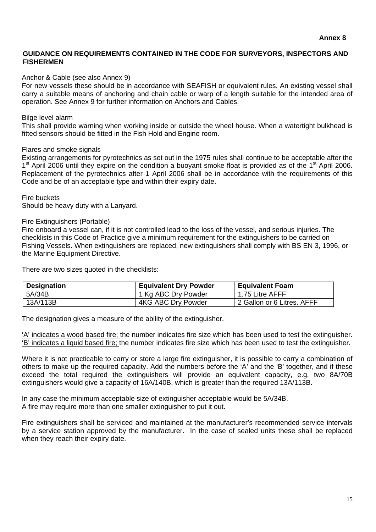# **GUIDANCE ON REQUIREMENTS CONTAINED IN THE CODE FOR SURVEYORS, INSPECTORS AND FISHERMEN**

# Anchor & Cable (see also Annex 9)

For new vessels these should be in accordance with SEAFISH or equivalent rules. An existing vessel shall carry a suitable means of anchoring and chain cable or warp of a length suitable for the intended area of operation. See Annex 9 for further information on Anchors and Cables.

# Bilge level alarm

This shall provide warning when working inside or outside the wheel house. When a watertight bulkhead is fitted sensors should be fitted in the Fish Hold and Engine room.

# Flares and smoke signals

Existing arrangements for pyrotechnics as set out in the 1975 rules shall continue to be acceptable after the 1<sup>st</sup> April 2006 until they expire on the condition a buoyant smoke float is provided as of the 1<sup>st</sup> April 2006. Replacement of the pyrotechnics after 1 April 2006 shall be in accordance with the requirements of this Code and be of an acceptable type and within their expiry date.

# Fire buckets

Should be heavy duty with a Lanyard.

### Fire Extinguishers (Portable)

Fire onboard a vessel can, if it is not controlled lead to the loss of the vessel, and serious injuries. The checklists in this Code of Practice give a minimum requirement for the extinguishers to be carried on Fishing Vessels. When extinguishers are replaced, new extinguishers shall comply with BS EN 3, 1996, or the Marine Equipment Directive.

There are two sizes quoted in the checklists:

| <b>Designation</b> | <b>Equivalent Dry Powder</b> | <b>Equivalent Foam</b>     |
|--------------------|------------------------------|----------------------------|
| 5A/34B             | 1 Kg ABC Dry Powder          | 1.75 Litre AFFF            |
| 13A/113B           | 4KG ABC Dry Powder           | 2 Gallon or 6 Litres. AFFF |

The designation gives a measure of the ability of the extinguisher.

'A' indicates a wood based fire; the number indicates fire size which has been used to test the extinguisher. 'B' indicates a liquid based fire; the number indicates fire size which has been used to test the extinguisher.

Where it is not practicable to carry or store a large fire extinguisher, it is possible to carry a combination of others to make up the required capacity. Add the numbers before the 'A' and the 'B' together, and if these exceed the total required the extinguishers will provide an equivalent capacity, e.g. two 8A/70B extinguishers would give a capacity of 16A/140B, which is greater than the required 13A/113B.

In any case the minimum acceptable size of extinguisher acceptable would be 5A/34B. A fire may require more than one smaller extinguisher to put it out.

Fire extinguishers shall be serviced and maintained at the manufacturer's recommended service intervals by a service station approved by the manufacturer. In the case of sealed units these shall be replaced when they reach their expiry date.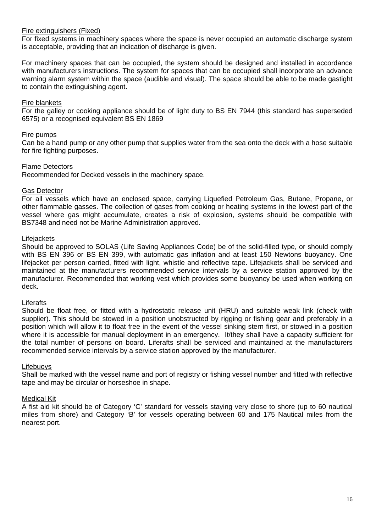# Fire extinguishers (Fixed)

For fixed systems in machinery spaces where the space is never occupied an automatic discharge system is acceptable, providing that an indication of discharge is given.

For machinery spaces that can be occupied, the system should be designed and installed in accordance with manufacturers instructions. The system for spaces that can be occupied shall incorporate an advance warning alarm system within the space (audible and visual). The space should be able to be made gastight to contain the extinguishing agent.

### Fire blankets

For the galley or cooking appliance should be of light duty to BS EN 7944 (this standard has superseded 6575) or a recognised equivalent BS EN 1869

### Fire pumps

Can be a hand pump or any other pump that supplies water from the sea onto the deck with a hose suitable for fire fighting purposes.

### Flame Detectors

Recommended for Decked vessels in the machinery space.

### Gas Detector

For all vessels which have an enclosed space, carrying Liquefied Petroleum Gas, Butane, Propane, or other flammable gasses. The collection of gases from cooking or heating systems in the lowest part of the vessel where gas might accumulate, creates a risk of explosion, systems should be compatible with BS7348 and need not be Marine Administration approved.

### **Lifejackets**

Should be approved to SOLAS (Life Saving Appliances Code) be of the solid-filled type, or should comply with BS EN 396 or BS EN 399, with automatic gas inflation and at least 150 Newtons buoyancy. One lifejacket per person carried, fitted with light, whistle and reflective tape. Lifejackets shall be serviced and maintained at the manufacturers recommended service intervals by a service station approved by the manufacturer. Recommended that working vest which provides some buoyancy be used when working on deck.

### **Liferafts**

Should be float free, or fitted with a hydrostatic release unit (HRU) and suitable weak link (check with supplier). This should be stowed in a position unobstructed by rigging or fishing gear and preferably in a position which will allow it to float free in the event of the vessel sinking stern first, or stowed in a position where it is accessible for manual deployment in an emergency. It/they shall have a capacity sufficient for the total number of persons on board. Liferafts shall be serviced and maintained at the manufacturers recommended service intervals by a service station approved by the manufacturer.

### Lifebuoys

Shall be marked with the vessel name and port of registry or fishing vessel number and fitted with reflective tape and may be circular or horseshoe in shape.

### Medical Kit

A fist aid kit should be of Category 'C' standard for vessels staying very close to shore (up to 60 nautical miles from shore) and Category 'B' for vessels operating between 60 and 175 Nautical miles from the nearest port.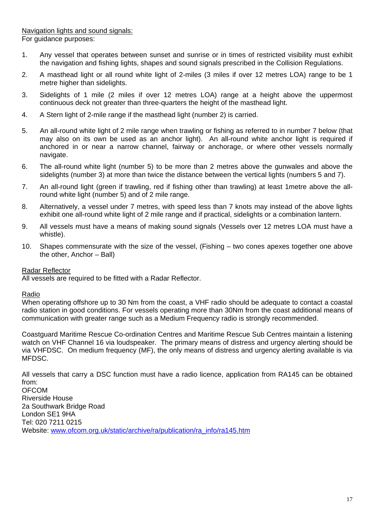- 1. Any vessel that operates between sunset and sunrise or in times of restricted visibility must exhibit the navigation and fishing lights, shapes and sound signals prescribed in the Collision Regulations.
- 2. A masthead light or all round white light of 2-miles (3 miles if over 12 metres LOA) range to be 1 metre higher than sidelights.
- 3. Sidelights of 1 mile (2 miles if over 12 metres LOA) range at a height above the uppermost continuous deck not greater than three-quarters the height of the masthead light.
- 4. A Stern light of 2-mile range if the masthead light (number 2) is carried.
- 5. An all-round white light of 2 mile range when trawling or fishing as referred to in number 7 below (that may also on its own be used as an anchor light). An all-round white anchor light is required if anchored in or near a narrow channel, fairway or anchorage, or where other vessels normally navigate.
- 6. The all-round white light (number 5) to be more than 2 metres above the gunwales and above the sidelights (number 3) at more than twice the distance between the vertical lights (numbers 5 and 7).
- 7. An all-round light (green if trawling, red if fishing other than trawling) at least 1metre above the allround white light (number 5) and of 2 mile range.
- 8. Alternatively, a vessel under 7 metres, with speed less than 7 knots may instead of the above lights exhibit one all-round white light of 2 mile range and if practical, sidelights or a combination lantern.
- 9. All vessels must have a means of making sound signals (Vessels over 12 metres LOA must have a whistle).
- 10. Shapes commensurate with the size of the vessel, (Fishing two cones apexes together one above the other, Anchor – Ball)

# Radar Reflector

All vessels are required to be fitted with a Radar Reflector.

### Radio

When operating offshore up to 30 Nm from the coast, a VHF radio should be adequate to contact a coastal radio station in good conditions. For vessels operating more than 30Nm from the coast additional means of communication with greater range such as a Medium Frequency radio is strongly recommended.

Coastguard Maritime Rescue Co-ordination Centres and Maritime Rescue Sub Centres maintain a listening watch on VHF Channel 16 via loudspeaker. The primary means of distress and urgency alerting should be via VHFDSC. On medium frequency (MF), the only means of distress and urgency alerting available is via MFDSC.

All vessels that carry a DSC function must have a radio licence, application from RA145 can be obtained from:

OFCOM Riverside House 2a Southwark Bridge Road London SE1 9HA Tel: 020 7211 0215 Website: www.ofcom.org.uk/static/archive/ra/publication/ra\_info/ra145.htm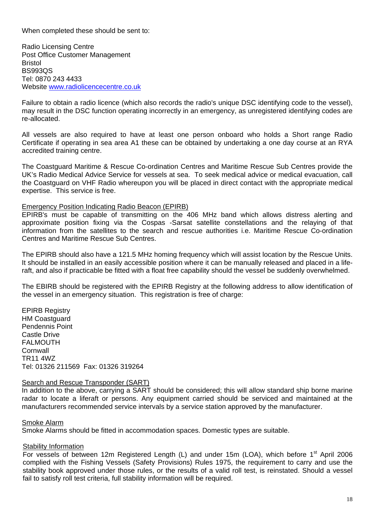When completed these should be sent to:

Radio Licensing Centre Post Office Customer Management Bristol BS993QS Tel: 0870 243 4433 Website www.radiolicencecentre.co.uk

Failure to obtain a radio licence (which also records the radio's unique DSC identifying code to the vessel), may result in the DSC function operating incorrectly in an emergency, as unregistered identifying codes are re-allocated.

All vessels are also required to have at least one person onboard who holds a Short range Radio Certificate if operating in sea area A1 these can be obtained by undertaking a one day course at an RYA accredited training centre.

The Coastguard Maritime & Rescue Co-ordination Centres and Maritime Rescue Sub Centres provide the UK's Radio Medical Advice Service for vessels at sea. To seek medical advice or medical evacuation, call the Coastguard on VHF Radio whereupon you will be placed in direct contact with the appropriate medical expertise. This service is free.

### Emergency Position Indicating Radio Beacon (EPIRB)

EPIRB's must be capable of transmitting on the 406 MHz band which allows distress alerting and approximate position fixing via the Cospas -Sarsat satellite constellations and the relaying of that information from the satellites to the search and rescue authorities i.e. Maritime Rescue Co-ordination Centres and Maritime Rescue Sub Centres.

The EPIRB should also have a 121.5 MHz homing frequency which will assist location by the Rescue Units. It should be installed in an easily accessible position where it can be manually released and placed in a liferaft, and also if practicable be fitted with a float free capability should the vessel be suddenly overwhelmed.

The EBIRB should be registered with the EPIRB Registry at the following address to allow identification of the vessel in an emergency situation. This registration is free of charge:

EPIRB Registry **HM Coastguard** Pendennis Point Castle Drive FALMOUTH Cornwall TR11 4WZ Tel: 01326 211569 Fax: 01326 319264

# Search and Rescue Transponder (SART)

In addition to the above, carrying a SART should be considered; this will allow standard ship borne marine radar to locate a liferaft or persons. Any equipment carried should be serviced and maintained at the manufacturers recommended service intervals by a service station approved by the manufacturer.

### Smoke Alarm

Smoke Alarms should be fitted in accommodation spaces. Domestic types are suitable.

# **Stability Information**

For vessels of between 12m Registered Length (L) and under 15m (LOA), which before  $1<sup>st</sup>$  April 2006 complied with the Fishing Vessels (Safety Provisions) Rules 1975, the requirement to carry and use the stability book approved under those rules, or the results of a valid roll test, is reinstated. Should a vessel fail to satisfy roll test criteria, full stability information will be required.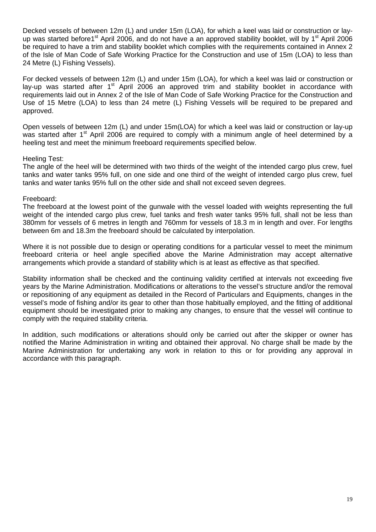Decked vessels of between 12m (L) and under 15m (LOA), for which a keel was laid or construction or layup was started before1<sup>st</sup> April 2006, and do not have a an approved stability booklet, will by 1<sup>st</sup> April 2006 be required to have a trim and stability booklet which complies with the requirements contained in Annex 2 of the Isle of Man Code of Safe Working Practice for the Construction and use of 15m (LOA) to less than 24 Metre (L) Fishing Vessels).

For decked vessels of between 12m (L) and under 15m (LOA), for which a keel was laid or construction or lay-up was started after  $1<sup>st</sup>$  April 2006 an approved trim and stability booklet in accordance with requirements laid out in Annex 2 of the Isle of Man Code of Safe Working Practice for the Construction and Use of 15 Metre (LOA) to less than 24 metre (L) Fishing Vessels will be required to be prepared and approved.

Open vessels of between 12m (L) and under 15m(LOA) for which a keel was laid or construction or lay-up was started after 1<sup>st</sup> April 2006 are required to comply with a minimum angle of heel determined by a heeling test and meet the minimum freeboard requirements specified below.

# Heeling Test:

The angle of the heel will be determined with two thirds of the weight of the intended cargo plus crew, fuel tanks and water tanks 95% full, on one side and one third of the weight of intended cargo plus crew, fuel tanks and water tanks 95% full on the other side and shall not exceed seven degrees.

# Freeboard:

The freeboard at the lowest point of the gunwale with the vessel loaded with weights representing the full weight of the intended cargo plus crew, fuel tanks and fresh water tanks 95% full, shall not be less than 380mm for vessels of 6 metres in length and 760mm for vessels of 18.3 m in length and over. For lengths between 6m and 18.3m the freeboard should be calculated by interpolation.

Where it is not possible due to design or operating conditions for a particular vessel to meet the minimum freeboard criteria or heel angle specified above the Marine Administration may accept alternative arrangements which provide a standard of stability which is at least as effective as that specified.

Stability information shall be checked and the continuing validity certified at intervals not exceeding five years by the Marine Administration. Modifications or alterations to the vessel's structure and/or the removal or repositioning of any equipment as detailed in the Record of Particulars and Equipments, changes in the vessel's mode of fishing and/or its gear to other than those habitually employed, and the fitting of additional equipment should be investigated prior to making any changes, to ensure that the vessel will continue to comply with the required stability criteria.

In addition, such modifications or alterations should only be carried out after the skipper or owner has notified the Marine Administration in writing and obtained their approval. No charge shall be made by the Marine Administration for undertaking any work in relation to this or for providing any approval in accordance with this paragraph.